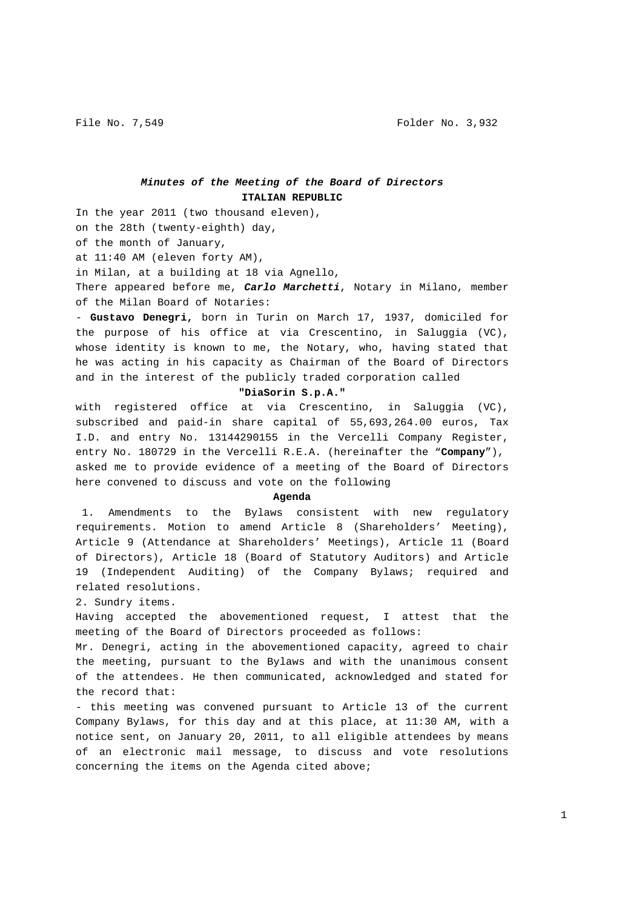File No. 7,549 **Folder No. 3,932** 

## **Minutes of the Meeting of the Board of Directors ITALIAN REPUBLIC**

In the year 2011 (two thousand eleven),

on the 28th (twenty-eighth) day,

of the month of January,

at 11:40 AM (eleven forty AM),

in Milan, at a building at 18 via Agnello,

There appeared before me, **Carlo Marchetti**, Notary in Milano, member of the Milan Board of Notaries:

- **Gustavo Denegri,** born in Turin on March 17, 1937, domiciled for the purpose of his office at via Crescentino, in Saluggia (VC), whose identity is known to me, the Notary, who, having stated that he was acting in his capacity as Chairman of the Board of Directors and in the interest of the publicly traded corporation called

## **"DiaSorin S.p.A."**

with registered office at via Crescentino, in Saluggia (VC), subscribed and paid-in share capital of 55,693,264.00 euros, Tax I.D. and entry No. 13144290155 in the Vercelli Company Register, entry No. 180729 in the Vercelli R.E.A. (hereinafter the "**Company**"), asked me to provide evidence of a meeting of the Board of Directors here convened to discuss and vote on the following

## **Agenda**

1. Amendments to the Bylaws consistent with new regulatory requirements. Motion to amend Article 8 (Shareholders' Meeting), Article 9 (Attendance at Shareholders' Meetings), Article 11 (Board of Directors), Article 18 (Board of Statutory Auditors) and Article 19 (Independent Auditing) of the Company Bylaws; required and related resolutions.

2. Sundry items.

Having accepted the abovementioned request, I attest that the meeting of the Board of Directors proceeded as follows:

Mr. Denegri, acting in the abovementioned capacity, agreed to chair the meeting, pursuant to the Bylaws and with the unanimous consent of the attendees. He then communicated, acknowledged and stated for the record that:

- this meeting was convened pursuant to Article 13 of the current Company Bylaws, for this day and at this place, at 11:30 AM, with a notice sent, on January 20, 2011, to all eligible attendees by means of an electronic mail message, to discuss and vote resolutions concerning the items on the Agenda cited above;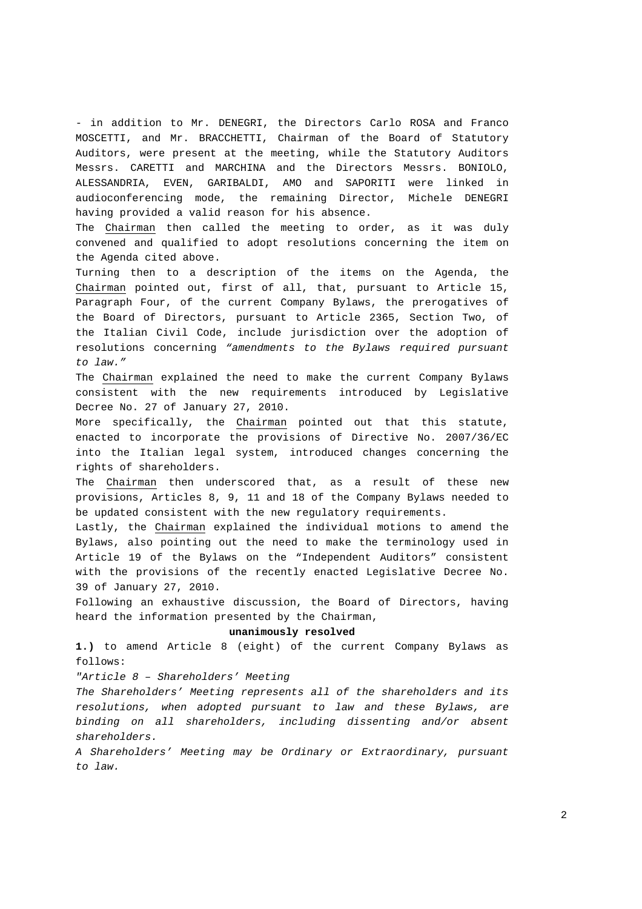- in addition to Mr. DENEGRI, the Directors Carlo ROSA and Franco MOSCETTI, and Mr. BRACCHETTI, Chairman of the Board of Statutory Auditors, were present at the meeting, while the Statutory Auditors Messrs. CARETTI and MARCHINA and the Directors Messrs. BONIOLO, ALESSANDRIA, EVEN, GARIBALDI, AMO and SAPORITI were linked in audioconferencing mode, the remaining Director, Michele DENEGRI having provided a valid reason for his absence.

The Chairman then called the meeting to order, as it was duly convened and qualified to adopt resolutions concerning the item on the Agenda cited above.

Turning then to a description of the items on the Agenda, the Chairman pointed out, first of all, that, pursuant to Article 15, Paragraph Four, of the current Company Bylaws, the prerogatives of the Board of Directors, pursuant to Article 2365, Section Two, of the Italian Civil Code, include jurisdiction over the adoption of resolutions concerning "amendments to the Bylaws required pursuant to law."

The Chairman explained the need to make the current Company Bylaws consistent with the new requirements introduced by Legislative Decree No. 27 of January 27, 2010.

More specifically, the Chairman pointed out that this statute, enacted to incorporate the provisions of Directive No. 2007/36/EC into the Italian legal system, introduced changes concerning the rights of shareholders.

The Chairman then underscored that, as a result of these new provisions, Articles 8, 9, 11 and 18 of the Company Bylaws needed to be updated consistent with the new regulatory requirements.

Lastly, the Chairman explained the individual motions to amend the Bylaws, also pointing out the need to make the terminology used in Article 19 of the Bylaws on the "Independent Auditors" consistent with the provisions of the recently enacted Legislative Decree No. 39 of January 27, 2010.

Following an exhaustive discussion, the Board of Directors, having heard the information presented by the Chairman,

**unanimously resolved** 

**1.)** to amend Article 8 (eight) of the current Company Bylaws as follows:

"Article 8 – Shareholders' Meeting

The Shareholders' Meeting represents all of the shareholders and its resolutions, when adopted pursuant to law and these Bylaws, are binding on all shareholders, including dissenting and/or absent shareholders.

A Shareholders' Meeting may be Ordinary or Extraordinary, pursuant to law.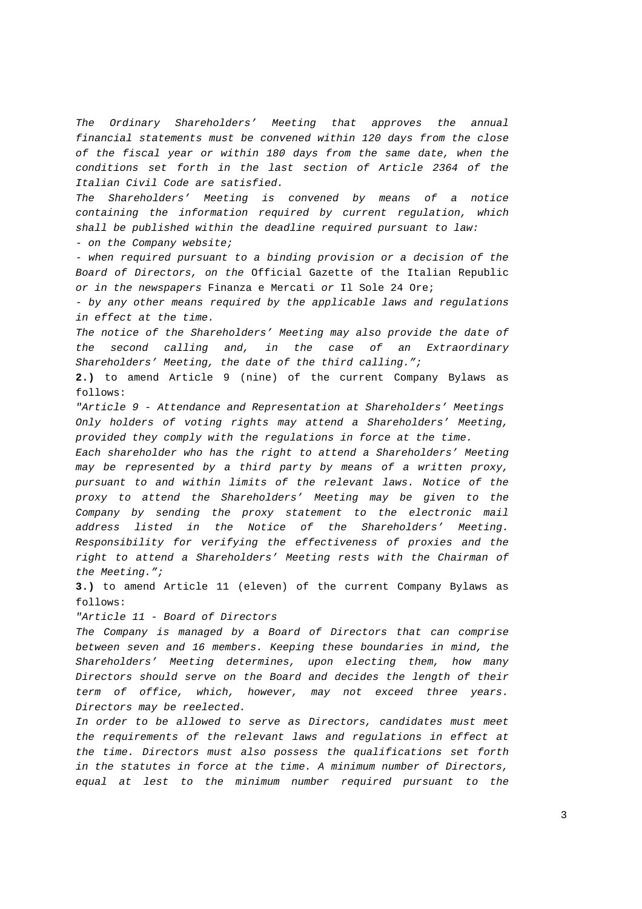The Ordinary Shareholders' Meeting that approves the annual financial statements must be convened within 120 days from the close of the fiscal year or within 180 days from the same date, when the conditions set forth in the last section of Article 2364 of the Italian Civil Code are satisfied.

The Shareholders' Meeting is convened by means of a notice containing the information required by current regulation, which shall be published within the deadline required pursuant to law: - on the Company website;

- when required pursuant to a binding provision or a decision of the Board of Directors, on the Official Gazette of the Italian Republic or in the newspapers Finanza e Mercati or Il Sole 24 Ore;

- by any other means required by the applicable laws and regulations in effect at the time.

The notice of the Shareholders' Meeting may also provide the date of the second calling and, in the case of an Extraordinary Shareholders' Meeting, the date of the third calling.";

**2.)** to amend Article 9 (nine) of the current Company Bylaws as follows:

"Article 9 - Attendance and Representation at Shareholders' Meetings Only holders of voting rights may attend a Shareholders' Meeting, provided they comply with the regulations in force at the time.

Each shareholder who has the right to attend a Shareholders' Meeting may be represented by a third party by means of a written proxy, pursuant to and within limits of the relevant laws. Notice of the proxy to attend the Shareholders' Meeting may be given to the Company by sending the proxy statement to the electronic mail address listed in the Notice of the Shareholders' Meeting. Responsibility for verifying the effectiveness of proxies and the right to attend a Shareholders' Meeting rests with the Chairman of the Meeting.";

**3.)** to amend Article 11 (eleven) of the current Company Bylaws as follows:

"Article 11 - Board of Directors

The Company is managed by a Board of Directors that can comprise between seven and 16 members. Keeping these boundaries in mind, the Shareholders' Meeting determines, upon electing them, how many Directors should serve on the Board and decides the length of their term of office, which, however, may not exceed three years. Directors may be reelected.

In order to be allowed to serve as Directors, candidates must meet the requirements of the relevant laws and regulations in effect at the time. Directors must also possess the qualifications set forth in the statutes in force at the time. A minimum number of Directors, equal at lest to the minimum number required pursuant to the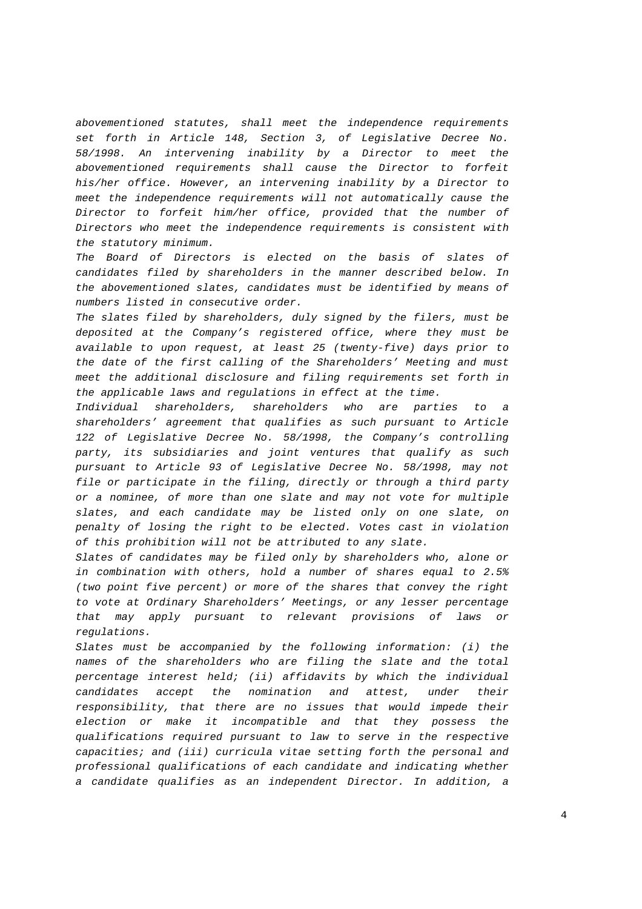abovementioned statutes, shall meet the independence requirements set forth in Article 148, Section 3, of Legislative Decree No. 58/1998. An intervening inability by a Director to meet the abovementioned requirements shall cause the Director to forfeit his/her office. However, an intervening inability by a Director to meet the independence requirements will not automatically cause the Director to forfeit him/her office, provided that the number of Directors who meet the independence requirements is consistent with the statutory minimum.

The Board of Directors is elected on the basis of slates of candidates filed by shareholders in the manner described below. In the abovementioned slates, candidates must be identified by means of numbers listed in consecutive order.

The slates filed by shareholders, duly signed by the filers, must be deposited at the Company's registered office, where they must be available to upon request, at least 25 (twenty-five) days prior to the date of the first calling of the Shareholders' Meeting and must meet the additional disclosure and filing requirements set forth in the applicable laws and regulations in effect at the time.

Individual shareholders, shareholders who are parties to shareholders' agreement that qualifies as such pursuant to Article 122 of Legislative Decree No. 58/1998, the Company's controlling party, its subsidiaries and joint ventures that qualify as such pursuant to Article 93 of Legislative Decree No. 58/1998, may not file or participate in the filing, directly or through a third party or a nominee, of more than one slate and may not vote for multiple slates, and each candidate may be listed only on one slate, on penalty of losing the right to be elected. Votes cast in violation of this prohibition will not be attributed to any slate.

Slates of candidates may be filed only by shareholders who, alone or in combination with others, hold a number of shares equal to 2.5% (two point five percent) or more of the shares that convey the right to vote at Ordinary Shareholders' Meetings, or any lesser percentage that may apply pursuant to relevant provisions of laws or regulations.

Slates must be accompanied by the following information: (i) the names of the shareholders who are filing the slate and the total percentage interest held; (ii) affidavits by which the individual candidates accept the nomination and attest, under their responsibility, that there are no issues that would impede their election or make it incompatible and that they possess the qualifications required pursuant to law to serve in the respective capacities; and (iii) curricula vitae setting forth the personal and professional qualifications of each candidate and indicating whether a candidate qualifies as an independent Director. In addition, a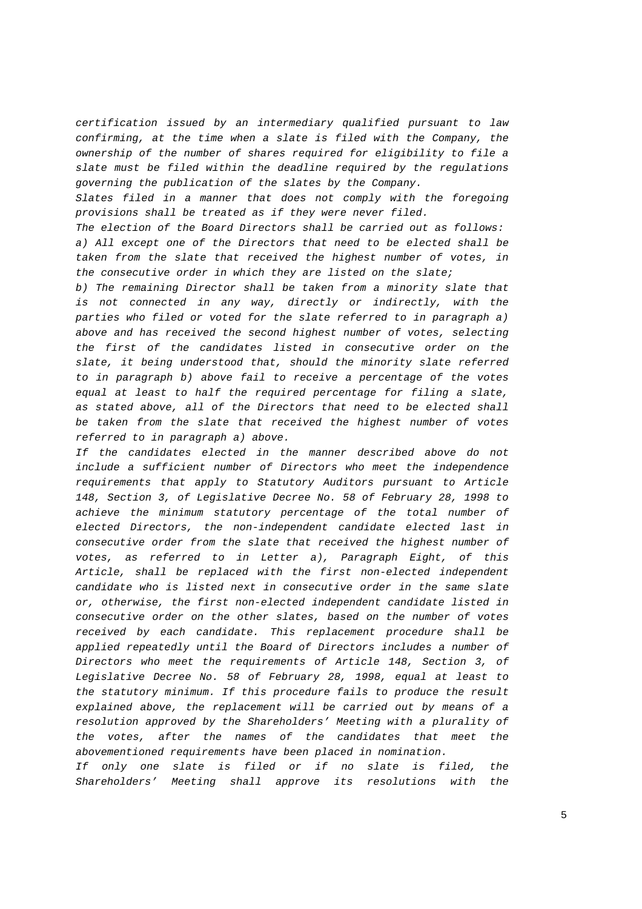certification issued by an intermediary qualified pursuant to law confirming, at the time when a slate is filed with the Company, the ownership of the number of shares required for eligibility to file a slate must be filed within the deadline required by the regulations governing the publication of the slates by the Company.

Slates filed in a manner that does not comply with the foregoing provisions shall be treated as if they were never filed.

The election of the Board Directors shall be carried out as follows: a) All except one of the Directors that need to be elected shall be taken from the slate that received the highest number of votes, in the consecutive order in which they are listed on the slate;

b) The remaining Director shall be taken from a minority slate that is not connected in any way, directly or indirectly, with the parties who filed or voted for the slate referred to in paragraph a) above and has received the second highest number of votes, selecting the first of the candidates listed in consecutive order on the slate, it being understood that, should the minority slate referred to in paragraph b) above fail to receive a percentage of the votes equal at least to half the required percentage for filing a slate, as stated above, all of the Directors that need to be elected shall be taken from the slate that received the highest number of votes referred to in paragraph a) above.

If the candidates elected in the manner described above do not include a sufficient number of Directors who meet the independence requirements that apply to Statutory Auditors pursuant to Article 148, Section 3, of Legislative Decree No. 58 of February 28, 1998 to achieve the minimum statutory percentage of the total number of elected Directors, the non-independent candidate elected last in consecutive order from the slate that received the highest number of votes, as referred to in Letter a), Paragraph Eight, of this Article, shall be replaced with the first non-elected independent candidate who is listed next in consecutive order in the same slate or, otherwise, the first non-elected independent candidate listed in consecutive order on the other slates, based on the number of votes received by each candidate. This replacement procedure shall be applied repeatedly until the Board of Directors includes a number of Directors who meet the requirements of Article 148, Section 3, of Legislative Decree No. 58 of February 28, 1998, equal at least to the statutory minimum. If this procedure fails to produce the result explained above, the replacement will be carried out by means of a resolution approved by the Shareholders' Meeting with a plurality of the votes, after the names of the candidates that meet the abovementioned requirements have been placed in nomination. If only one slate is filed or if no slate is filed, the

Shareholders' Meeting shall approve its resolutions with the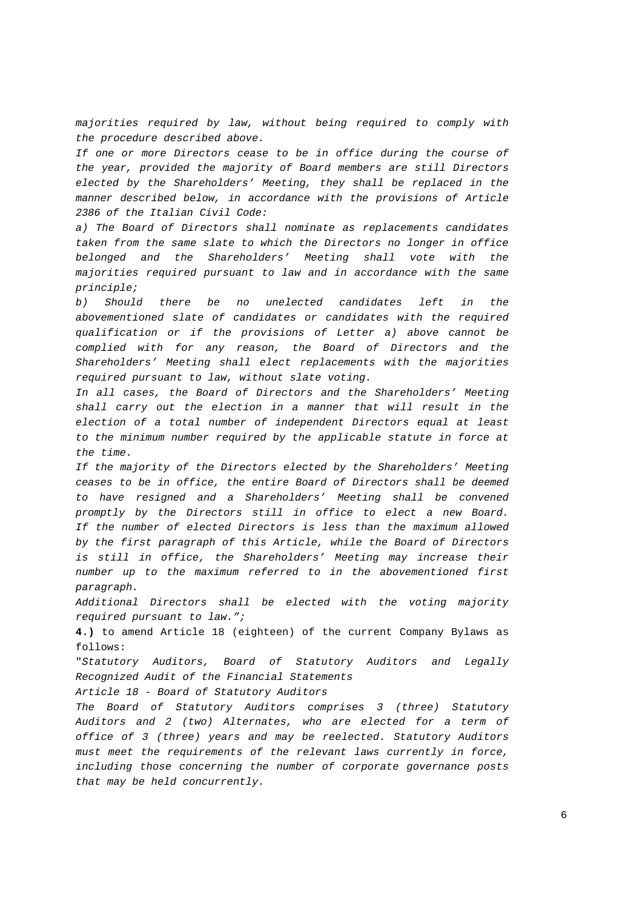majorities required by law, without being required to comply with the procedure described above.

If one or more Directors cease to be in office during the course of the year, provided the majority of Board members are still Directors elected by the Shareholders' Meeting, they shall be replaced in the manner described below, in accordance with the provisions of Article 2386 of the Italian Civil Code:

a) The Board of Directors shall nominate as replacements candidates taken from the same slate to which the Directors no longer in office belonged and the Shareholders' Meeting shall vote with the majorities required pursuant to law and in accordance with the same principle;

b) Should there be no unelected candidates left in the abovementioned slate of candidates or candidates with the required qualification or if the provisions of Letter a) above cannot be complied with for any reason, the Board of Directors and the Shareholders' Meeting shall elect replacements with the majorities required pursuant to law, without slate voting.

In all cases, the Board of Directors and the Shareholders' Meeting shall carry out the election in a manner that will result in the election of a total number of independent Directors equal at least to the minimum number required by the applicable statute in force at the time.

If the majority of the Directors elected by the Shareholders' Meeting ceases to be in office, the entire Board of Directors shall be deemed to have resigned and a Shareholders' Meeting shall be convened promptly by the Directors still in office to elect a new Board. If the number of elected Directors is less than the maximum allowed by the first paragraph of this Article, while the Board of Directors is still in office, the Shareholders' Meeting may increase their number up to the maximum referred to in the abovementioned first paragraph.

Additional Directors shall be elected with the voting majority required pursuant to law.";

**4.)** to amend Article 18 (eighteen) of the current Company Bylaws as follows:

"Statutory Auditors, Board of Statutory Auditors and Legally Recognized Audit of the Financial Statements

Article 18 - Board of Statutory Auditors

The Board of Statutory Auditors comprises 3 (three) Statutory Auditors and 2 (two) Alternates, who are elected for a term of office of 3 (three) years and may be reelected. Statutory Auditors must meet the requirements of the relevant laws currently in force, including those concerning the number of corporate governance posts that may be held concurrently.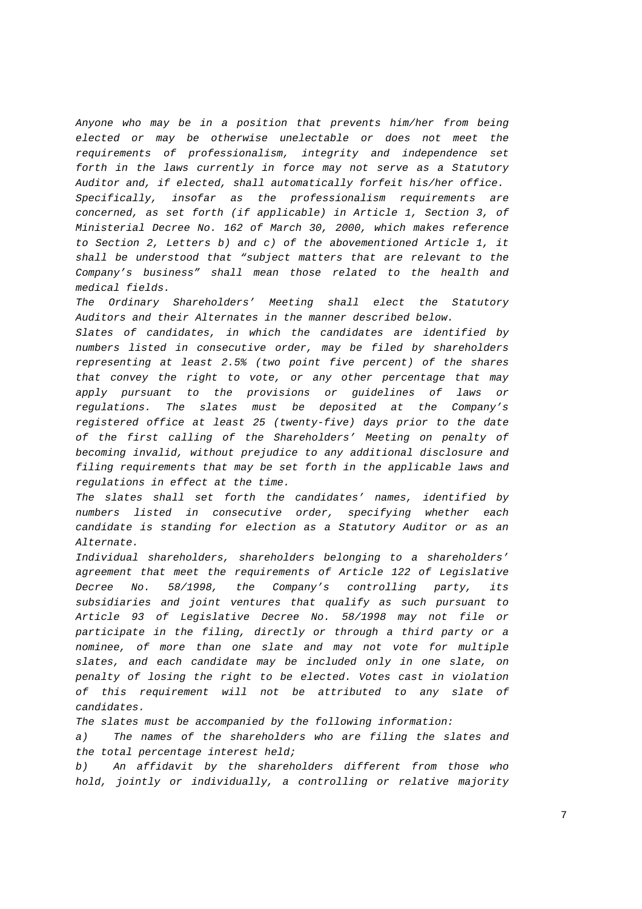Anyone who may be in a position that prevents him/her from being elected or may be otherwise unelectable or does not meet the requirements of professionalism, integrity and independence set forth in the laws currently in force may not serve as a Statutory Auditor and, if elected, shall automatically forfeit his/her office. Specifically, insofar as the professionalism requirements are concerned, as set forth (if applicable) in Article 1, Section 3, of Ministerial Decree No. 162 of March 30, 2000, which makes reference to Section 2, Letters b) and c) of the abovementioned Article 1, it shall be understood that "subject matters that are relevant to the Company's business" shall mean those related to the health and medical fields.

The Ordinary Shareholders' Meeting shall elect the Statutory Auditors and their Alternates in the manner described below.

Slates of candidates, in which the candidates are identified by numbers listed in consecutive order, may be filed by shareholders representing at least 2.5% (two point five percent) of the shares that convey the right to vote, or any other percentage that may apply pursuant to the provisions or guidelines of laws or regulations. The slates must be deposited at the Company's registered office at least 25 (twenty-five) days prior to the date of the first calling of the Shareholders' Meeting on penalty of becoming invalid, without prejudice to any additional disclosure and filing requirements that may be set forth in the applicable laws and regulations in effect at the time.

The slates shall set forth the candidates' names, identified by numbers listed in consecutive order, specifying whether each candidate is standing for election as a Statutory Auditor or as an Alternate.

Individual shareholders, shareholders belonging to a shareholders' agreement that meet the requirements of Article 122 of Legislative Decree No. 58/1998, the Company's controlling party, its subsidiaries and joint ventures that qualify as such pursuant to Article 93 of Legislative Decree No. 58/1998 may not file or participate in the filing, directly or through a third party or a nominee, of more than one slate and may not vote for multiple slates, and each candidate may be included only in one slate, on penalty of losing the right to be elected. Votes cast in violation of this requirement will not be attributed to any slate of candidates.

The slates must be accompanied by the following information:

a) The names of the shareholders who are filing the slates and the total percentage interest held;

b) An affidavit by the shareholders different from those who hold, jointly or individually, a controlling or relative majority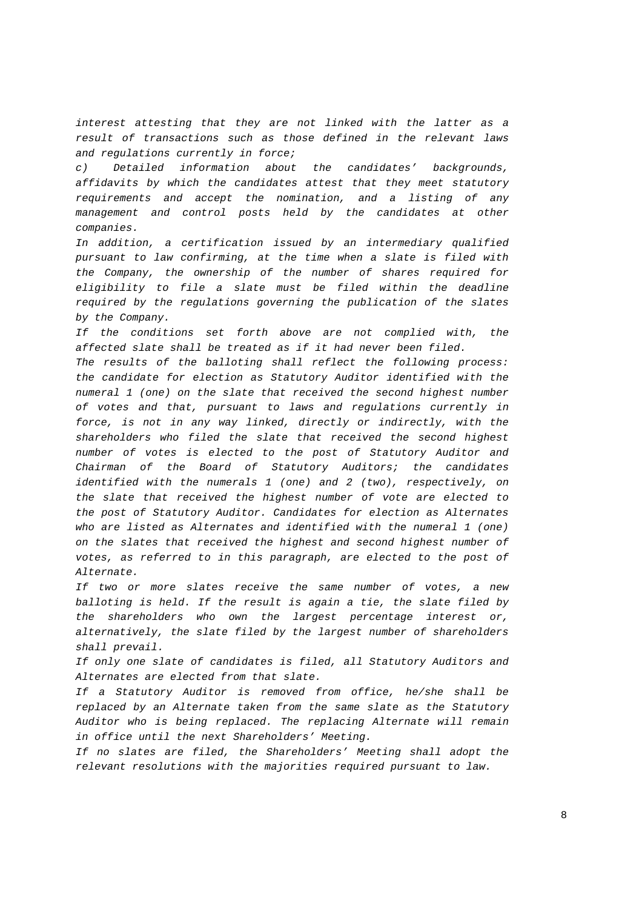interest attesting that they are not linked with the latter as a result of transactions such as those defined in the relevant laws and regulations currently in force;

c) Detailed information about the candidates' backgrounds, affidavits by which the candidates attest that they meet statutory requirements and accept the nomination, and a listing of any management and control posts held by the candidates at other companies.

In addition, a certification issued by an intermediary qualified pursuant to law confirming, at the time when a slate is filed with the Company, the ownership of the number of shares required for eligibility to file a slate must be filed within the deadline required by the regulations governing the publication of the slates by the Company.

If the conditions set forth above are not complied with, the affected slate shall be treated as if it had never been filed.

The results of the balloting shall reflect the following process: the candidate for election as Statutory Auditor identified with the numeral 1 (one) on the slate that received the second highest number of votes and that, pursuant to laws and regulations currently in force, is not in any way linked, directly or indirectly, with the shareholders who filed the slate that received the second highest number of votes is elected to the post of Statutory Auditor and Chairman of the Board of Statutory Auditors; the candidates identified with the numerals 1 (one) and 2 (two), respectively, on the slate that received the highest number of vote are elected to the post of Statutory Auditor. Candidates for election as Alternates who are listed as Alternates and identified with the numeral 1 (one) on the slates that received the highest and second highest number of votes, as referred to in this paragraph, are elected to the post of Alternate.

If two or more slates receive the same number of votes, a new balloting is held. If the result is again a tie, the slate filed by the shareholders who own the largest percentage interest or, alternatively, the slate filed by the largest number of shareholders shall prevail.

If only one slate of candidates is filed, all Statutory Auditors and Alternates are elected from that slate.

If a Statutory Auditor is removed from office, he/she shall be replaced by an Alternate taken from the same slate as the Statutory Auditor who is being replaced. The replacing Alternate will remain in office until the next Shareholders' Meeting.

If no slates are filed, the Shareholders' Meeting shall adopt the relevant resolutions with the majorities required pursuant to law.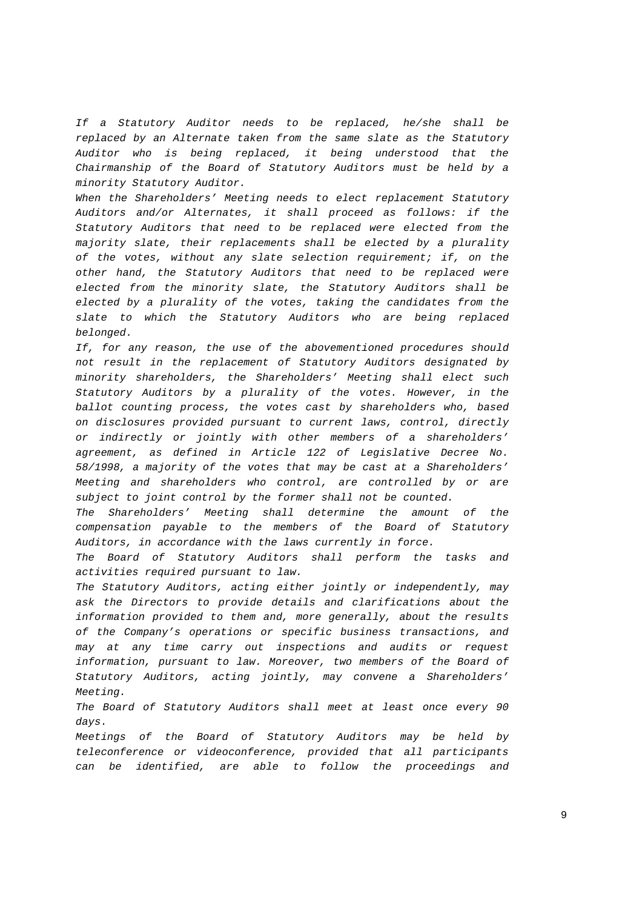If a Statutory Auditor needs to be replaced, he/she shall be replaced by an Alternate taken from the same slate as the Statutory Auditor who is being replaced, it being understood that the Chairmanship of the Board of Statutory Auditors must be held by a minority Statutory Auditor.

When the Shareholders' Meeting needs to elect replacement Statutory Auditors and/or Alternates, it shall proceed as follows: if the Statutory Auditors that need to be replaced were elected from the majority slate, their replacements shall be elected by a plurality of the votes, without any slate selection requirement; if, on the other hand, the Statutory Auditors that need to be replaced were elected from the minority slate, the Statutory Auditors shall be elected by a plurality of the votes, taking the candidates from the slate to which the Statutory Auditors who are being replaced belonged.

If, for any reason, the use of the abovementioned procedures should not result in the replacement of Statutory Auditors designated by minority shareholders, the Shareholders' Meeting shall elect such Statutory Auditors by a plurality of the votes. However, in the ballot counting process, the votes cast by shareholders who, based on disclosures provided pursuant to current laws, control, directly or indirectly or jointly with other members of a shareholders' agreement, as defined in Article 122 of Legislative Decree No. 58/1998, a majority of the votes that may be cast at a Shareholders' Meeting and shareholders who control, are controlled by or are subject to joint control by the former shall not be counted.

The Shareholders' Meeting shall determine the amount of the compensation payable to the members of the Board of Statutory Auditors, in accordance with the laws currently in force.

The Board of Statutory Auditors shall perform the tasks and activities required pursuant to law.

The Statutory Auditors, acting either jointly or independently, may ask the Directors to provide details and clarifications about the information provided to them and, more generally, about the results of the Company's operations or specific business transactions, and may at any time carry out inspections and audits or request information, pursuant to law. Moreover, two members of the Board of Statutory Auditors, acting jointly, may convene a Shareholders' Meeting.

The Board of Statutory Auditors shall meet at least once every 90 days.

Meetings of the Board of Statutory Auditors may be held by teleconference or videoconference, provided that all participants can be identified, are able to follow the proceedings and